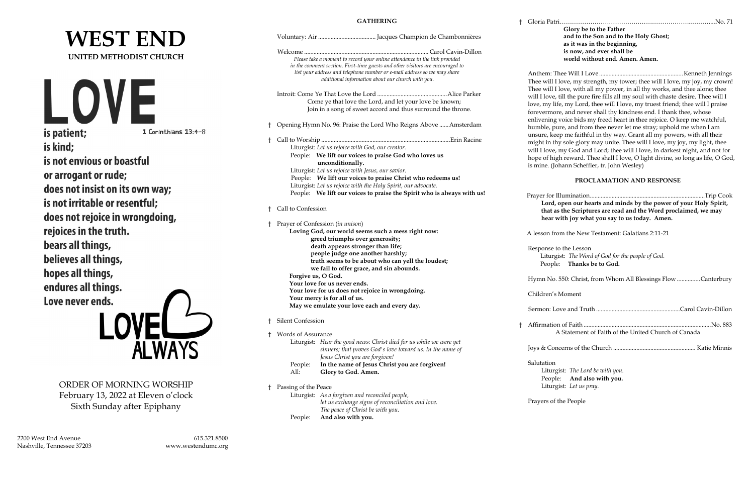2200 West End Avenue 615.321.8500 Nashville, Tennessee 37203 [www.westendumc.org](http://www.westendumc.org/)

Anthem: Thee Will I Love ......................................................Kenneth Jennings ove, my strength, my tower; thee will I love, my joy, my crown! ove, with all my power, in all thy works, and thee alone; thee ill the pure fire fills all my soul with chaste desire. Thee will I my Lord, thee will I love, my truest friend; thee will I praise , and never shall thy kindness end. I thank thee, whose roice bids my freed heart in thee rejoice. O keep me watchful, re, and from thee never let me stray; uphold me when I am me faithful in thy way. Grant all my powers, with all their sole glory may unite. Thee will I love, my joy, my light, thee my God and Lord; thee will I love, in darkest night, and not for reward. Thee shall I love, O light divine, so long as life, O God, iann Scheffler, tr. John Wesley)

|                                     | <b>GATHERING</b>                                                                                                                                                                                                                                                                              | Gloria Patri.                     |
|-------------------------------------|-----------------------------------------------------------------------------------------------------------------------------------------------------------------------------------------------------------------------------------------------------------------------------------------------|-----------------------------------|
| <b>WEST END</b>                     |                                                                                                                                                                                                                                                                                               |                                   |
| <b>UNITED METHODIST CHURCH</b>      | Please take a moment to record your online attendance in the link provided<br>in the comment section. First-time guests and other visitors are encouraged to<br>list your address and telephone number or e-mail address so we may share<br>additional information about our church with you. | Anthem: The                       |
|                                     |                                                                                                                                                                                                                                                                                               | Thee will I lo<br>Thee will I lo  |
| LOVE                                | Come ye that love the Lord, and let your love be known;                                                                                                                                                                                                                                       | will I love, ti                   |
|                                     | Join in a song of sweet accord and thus surround the throne.                                                                                                                                                                                                                                  | love, my life<br>forevermore      |
|                                     | <sup>†</sup> Opening Hymn No. 96: Praise the Lord Who Reigns Above  Amsterdam                                                                                                                                                                                                                 | enlivening v                      |
| is patient;<br>1 Corinthians 13:4-8 |                                                                                                                                                                                                                                                                                               | humble, pure<br>unsure, keep      |
| is kind;                            |                                                                                                                                                                                                                                                                                               | might in thy                      |
|                                     | Liturgist: Let us rejoice with God, our creator.<br>People: We lift our voices to praise God who loves us                                                                                                                                                                                     | will I love, m                    |
| is not envious or boastful          | unconditionally.                                                                                                                                                                                                                                                                              | hope of high<br>is mine. (Joh     |
| or arrogant or rude;                | Liturgist: Let us rejoice with Jesus, our savior.<br>People: We lift our voices to praise Christ who redeems us!                                                                                                                                                                              |                                   |
| does not insist on its own way;     | Liturgist: Let us rejoice with the Holy Spirit, our advocate.                                                                                                                                                                                                                                 |                                   |
|                                     | People: We lift our voices to praise the Spirit who is always with us!                                                                                                                                                                                                                        | Prayer for Ill                    |
| is not irritable or resentful;      | Call to Confession                                                                                                                                                                                                                                                                            | Lord, o<br>that as t              |
| does not rejoice in wrongdoing,     |                                                                                                                                                                                                                                                                                               | hear wi                           |
| rejoices in the truth.              | † Prayer of Confession (in unison)<br>Loving God, our world seems such a mess right now:                                                                                                                                                                                                      |                                   |
|                                     | greed triumphs over generosity;                                                                                                                                                                                                                                                               | A lesson fron                     |
| bears all things,                   | death appears stronger than life;                                                                                                                                                                                                                                                             | Response to                       |
| believes all things,                | people judge one another harshly;<br>truth seems to be about who can yell the loudest;                                                                                                                                                                                                        | Liturgis<br>People:               |
| hopes all things,                   | we fail to offer grace, and sin abounds.                                                                                                                                                                                                                                                      |                                   |
|                                     | Forgive us, O God.<br>Your love for us never ends.                                                                                                                                                                                                                                            | Hymn No. 5                        |
| endures all things.                 | Your love for us does not rejoice in wrongdoing.                                                                                                                                                                                                                                              | Children's M                      |
| Love never ends.                    | Your mercy is for all of us.<br>May we emulate your love each and every day.                                                                                                                                                                                                                  |                                   |
|                                     |                                                                                                                                                                                                                                                                                               | Sermon: Lov                       |
|                                     | † Silent Confession                                                                                                                                                                                                                                                                           | Affirmation                       |
|                                     | † Words of Assurance                                                                                                                                                                                                                                                                          | $\mathbf{A}$                      |
| LOVEL 4                             | Liturgist: Hear the good news: Christ died for us while we were yet<br>sinners; that proves God's love toward us. In the name of                                                                                                                                                              | Joys & Conce                      |
|                                     | Jesus Christ you are forgiven!                                                                                                                                                                                                                                                                |                                   |
|                                     | In the name of Jesus Christ you are forgiven!<br>People:<br>Glory to God. Amen.<br>All:                                                                                                                                                                                                       | Salutation<br>Liturgis<br>People: |
| ORDER OF MORNING WORSHIP            | † Passing of the Peace                                                                                                                                                                                                                                                                        | Liturgis                          |
| February 13, 2022 at Eleven o'clock | Liturgist: As a forgiven and reconciled people,<br>let us exchange signs of reconciliation and love.                                                                                                                                                                                          | Prayers of th                     |
| Sixth Sunday after Epiphany         | The peace of Christ be with you.<br>And also with you.<br>People:                                                                                                                                                                                                                             |                                   |
|                                     |                                                                                                                                                                                                                                                                                               |                                   |

† Affirmation of Faith ..................................................................................No. 883 Statement of Faith of the United Church of Canada

† Gloria Patri………………………………………………………..………...No. 71

**Glory be to the Father and to the Son and to the Holy Ghost; as it was in the beginning, is now, and ever shall be world without end. Amen. Amen.**

### **PROCLAMATION AND RESPONSE**

 Prayer for Illumination..........................................................................Trip Cook **Lord, open our hearts and minds by the power of your Holy Spirit,**  the Scriptures are read and the Word proclaimed, we may **hear with joy what you say to us today. Amen.**

m the New Testament: Galatians 2:11-21

the Lesson st: *The Word of God for the people of God.* **Thanks be to God.** 

550: Christ, from Whom All Blessings Flow ...............Canterbury

Moment

Sermon: Love and Truth ......................................................Carol Cavin-Dillon

Joys & Concerns of the Church ..................................................... Katie Minnis

st: *The Lord be with you.* And also with you. st: Let us pray.

ne People